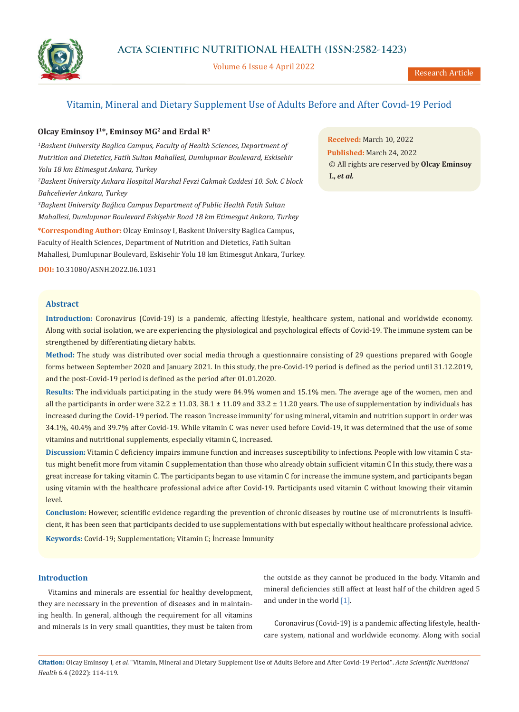

Volume 6 Issue 4 April 2022

# Vitamin, Mineral and Dietary Supplement Use of Adults Before and After Covıd-19 Period

# **Olcay Eminsoy I1\*, Eminsoy MG2 and Erdal R3**

*1 Baskent University Baglica Campus, Faculty of Health Sciences, Department of Nutrition and Dietetics, Fatih Sultan Mahallesi, Dumlupınar Boulevard, Eskisehir Yolu 18 km Etimesgut Ankara, Turkey 2 Baskent University Ankara Hospital Marshal Fevzi Cakmak Caddesi 10. Sok. C block* 

*Bahcelievler Ankara, Turkey*

*3 Başkent University Bağlıca Campus Department of Public Health Fatih Sultan Mahallesi, Dumlupınar Boulevard Eskişehir Road 18 km Etimesgut Ankara, Turkey*

**\*Corresponding Author:** Olcay Eminsoy I, Baskent University Baglica Campus, Faculty of Health Sciences, Department of Nutrition and Dietetics, Fatih Sultan Mahallesi, Dumlupınar Boulevard, Eskisehir Yolu 18 km Etimesgut Ankara, Turkey.

**DOI:** [10.31080/ASNH.2022.06.1031](https://actascientific.com/ASNH/pdf/ASNH-06-1031.pdf)

### **Abstract**

**Introduction:** Coronavirus (Covid-19) is a pandemic, affecting lifestyle, healthcare system, national and worldwide economy. Along with social isolation, we are experiencing the physiological and psychological effects of Covid-19. The immune system can be strengthened by differentiating dietary habits.

**Method:** The study was distributed over social media through a questionnaire consisting of 29 questions prepared with Google forms between September 2020 and January 2021. In this study, the pre-Covid-19 period is defined as the period until 31.12.2019, and the post-Covid-19 period is defined as the period after 01.01.2020.

**Results:** The individuals participating in the study were 84.9% women and 15.1% men. The average age of the women, men and all the participants in order were  $32.2 \pm 11.03$ ,  $38.1 \pm 11.09$  and  $33.2 \pm 11.20$  years. The use of supplementation by individuals has increased during the Covid-19 period. The reason 'increase immunity' for using mineral, vitamin and nutrition support in order was 34.1%, 40.4% and 39.7% after Covid-19. While vitamin C was never used before Covid-19, it was determined that the use of some vitamins and nutritional supplements, especially vitamin C, increased.

**Discussion:** Vitamin C deficiency impairs immune function and increases susceptibility to infections. People with low vitamin C status might benefit more from vitamin C supplementation than those who already obtain sufficient vitamin C In this study, there was a great increase for taking vitamin C. The participants began to use vitamin C for increase the immune system, and participants began using vitamin with the healthcare professional advice after Covid-19. Participants used vitamin C without knowing their vitamin level.

**Conclusion:** However, scientific evidence regarding the prevention of chronic diseases by routine use of micronutrients is insufficient, it has been seen that participants decided to use supplementations with but especially without healthcare professional advice.

**Keywords:** Covid-19; Supplementation; Vitamin C; İncrease İmmunity

# **Introduction**

Vitamins and minerals are essential for healthy development, they are necessary in the prevention of diseases and in maintaining health. In general, although the requirement for all vitamins and minerals is in very small quantities, they must be taken from the outside as they cannot be produced in the body. Vitamin and mineral deficiencies still affect at least half of the children aged 5 and under in the world [1].

Coronavirus (Covid-19) is a pandemic affecting lifestyle, healthcare system, national and worldwide economy. Along with social

**Citation:** Olcay Eminsoy I*, et al.* "Vitamin, Mineral and Dietary Supplement Use of Adults Before and After Covid-19 Period". *Acta Scientific Nutritional Health* 6.4 (2022): 114-119.

**Received:** March 10, 2022 **Published:** March 24, 2022 © All rights are reserved by **Olcay Eminsoy I.,** *et al.*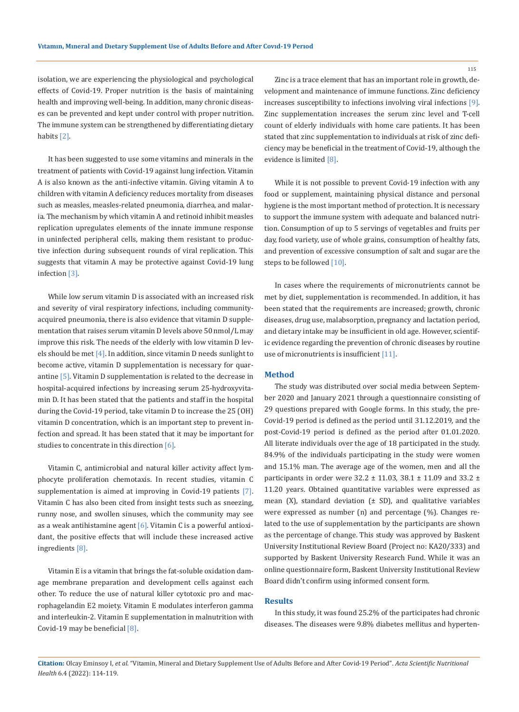isolation, we are experiencing the physiological and psychological effects of Covid-19. Proper nutrition is the basis of maintaining health and improving well-being. In addition, many chronic diseases can be prevented and kept under control with proper nutrition. The immune system can be strengthened by differentiating dietary habits [2].

It has been suggested to use some vitamins and minerals in the treatment of patients with Covid-19 against lung infection. Vitamin A is also known as the anti-infective vitamin. Giving vitamin A to children with vitamin A deficiency reduces mortality from diseases such as measles, measles-related pneumonia, diarrhea, and malaria. The mechanism by which vitamin A and retinoid inhibit measles replication upregulates elements of the innate immune response in uninfected peripheral cells, making them resistant to productive infection during subsequent rounds of viral replication. This suggests that vitamin A may be protective against Covid-19 lung infection [3].

While low serum vitamin D is associated with an increased risk and severity of viral respiratory infections, including communityacquired pneumonia, there is also evidence that vitamin D supplementation that raises serum vitamin D levels above 50 nmol/L may improve this risk. The needs of the elderly with low vitamin D levels should be met  $[4]$ . In addition, since vitamin D needs sunlight to become active, vitamin D supplementation is necessary for quarantine [5]. Vitamin D supplementation is related to the decrease in hospital-acquired infections by increasing serum 25-hydroxyvitamin D. It has been stated that the patients and staff in the hospital during the Covid-19 period, take vitamin D to increase the 25 (OH) vitamin D concentration, which is an important step to prevent infection and spread. It has been stated that it may be important for studies to concentrate in this direction [6].

Vitamin C, antimicrobial and natural killer activity affect lymphocyte proliferation chemotaxis. In recent studies, vitamin C supplementation is aimed at improving in Covid-19 patients [7]. Vitamin C has also been cited from insight tests such as sneezing, runny nose, and swollen sinuses, which the community may see as a weak antihistamine agent  $[6]$ . Vitamin C is a powerful antioxidant, the positive effects that will include these increased active ingredients [8].

Vitamin E is a vitamin that brings the fat-soluble oxidation damage membrane preparation and development cells against each other. To reduce the use of natural killer cytotoxic pro and macrophagelandin E2 moiety. Vitamin E modulates interferon gamma and interleukin-2. Vitamin E supplementation in malnutrition with Covid-19 may be beneficial [8].

Zinc is a trace element that has an important role in growth, development and maintenance of immune functions. Zinc deficiency increases susceptibility to infections involving viral infections [9]. Zinc supplementation increases the serum zinc level and T-cell count of elderly individuals with home care patients. It has been stated that zinc supplementation to individuals at risk of zinc deficiency may be beneficial in the treatment of Covid-19, although the evidence is limited [8].

While it is not possible to prevent Covid-19 infection with any food or supplement, maintaining physical distance and personal hygiene is the most important method of protection. It is necessary to support the immune system with adequate and balanced nutrition. Consumption of up to 5 servings of vegetables and fruits per day, food variety, use of whole grains, consumption of healthy fats, and prevention of excessive consumption of salt and sugar are the steps to be followed [10].

In cases where the requirements of micronutrients cannot be met by diet, supplementation is recommended. In addition, it has been stated that the requirements are increased; growth, chronic diseases, drug use, malabsorption, pregnancy and lactation period, and dietary intake may be insufficient in old age. However, scientific evidence regarding the prevention of chronic diseases by routine use of micronutrients is insufficient [11].

#### **Method**

The study was distributed over social media between September 2020 and January 2021 through a questionnaire consisting of 29 questions prepared with Google forms. In this study, the pre-Covid-19 period is defined as the period until 31.12.2019, and the post-Covid-19 period is defined as the period after 01.01.2020. All literate individuals over the age of 18 participated in the study. 84.9% of the individuals participating in the study were women and 15.1% man. The average age of the women, men and all the participants in order were 32.2 ± 11.03, 38.1 ± 11.09 and 33.2 ± 11.20 years. Obtained quantitative variables were expressed as mean (X), standard deviation  $(\pm$  SD), and qualitative variables were expressed as number (n) and percentage (%). Changes related to the use of supplementation by the participants are shown as the percentage of change. This study was approved by Baskent University Institutional Review Board (Project no: KA20/333) and supported by Baskent University Research Fund. While it was an online questionnaire form, Baskent University Institutional Review Board didn't confirm using informed consent form.

## **Results**

In this study, it was found 25.2% of the participates had chronic diseases. The diseases were 9.8% diabetes mellitus and hyperten-

**Citation:** Olcay Eminsoy I*, et al.* "Vitamin, Mineral and Dietary Supplement Use of Adults Before and After Covid-19 Period". *Acta Scientific Nutritional Health* 6.4 (2022): 114-119.

115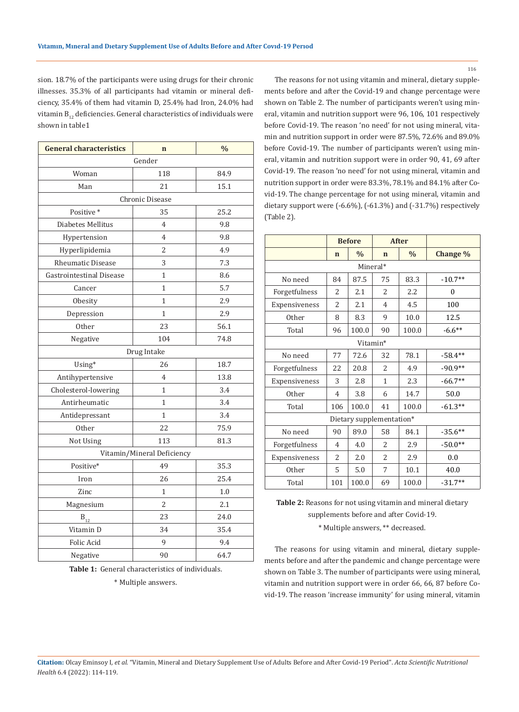sion. 18.7% of the participants were using drugs for their chronic illnesses. 35.3% of all participants had vitamin or mineral deficiency, 35.4% of them had vitamin D, 25.4% had Iron, 24.0% had vitamin  $B_{12}$  deficiencies. General characteristics of individuals were shown in table1

| <b>General characteristics</b> | $\mathbf n$    | $\frac{0}{0}$ |  |  |  |  |
|--------------------------------|----------------|---------------|--|--|--|--|
|                                | Gender         |               |  |  |  |  |
| Woman                          | 118            | 84.9          |  |  |  |  |
| Man                            | 21             | 15.1          |  |  |  |  |
| Chronic Disease                |                |               |  |  |  |  |
| Positive*                      | 35             | 25.2          |  |  |  |  |
| Diabetes Mellitus              | 4              | 9.8           |  |  |  |  |
| Hypertension                   | 4              | 9.8           |  |  |  |  |
| Hyperlipidemia                 | 2              | 4.9           |  |  |  |  |
| <b>Rheumatic Disease</b>       | 3              | 7.3           |  |  |  |  |
| Gastrointestinal Disease       | $\mathbf{1}$   | 8.6           |  |  |  |  |
| Cancer                         | 1              | 5.7           |  |  |  |  |
| Obesity                        | 1              | 2.9           |  |  |  |  |
| Depression                     | $\mathbf{1}$   | 2.9           |  |  |  |  |
| <b>Other</b>                   | 23             | 56.1          |  |  |  |  |
| Negative                       | 104            | 74.8          |  |  |  |  |
|                                | Drug Intake    |               |  |  |  |  |
| Using*                         | 26             | 18.7          |  |  |  |  |
| Antihypertensive               | 4              | 13.8          |  |  |  |  |
| Cholesterol-lowering           | 1              | 3.4           |  |  |  |  |
| Antirheumatic                  | $\mathbf{1}$   | 3.4           |  |  |  |  |
| Antidepressant                 | $\mathbf{1}$   | 3.4           |  |  |  |  |
| <b>Other</b>                   | 22             | 75.9          |  |  |  |  |
| Not Using                      | 113            | 81.3          |  |  |  |  |
| Vitamin/Mineral Deficiency     |                |               |  |  |  |  |
| Positive*                      | 49             | 35.3          |  |  |  |  |
| Iron                           | 26             | 25.4          |  |  |  |  |
| Zinc                           | $\mathbf{1}$   | 1.0           |  |  |  |  |
| Magnesium                      | $\overline{2}$ | 2.1           |  |  |  |  |
| $\mathbf{B}_{12}$              | 23             | 24.0          |  |  |  |  |
| Vitamin D                      | 34             | 35.4          |  |  |  |  |
| Folic Acid                     | 9              | 9.4           |  |  |  |  |
| Negative                       | 90             | 64.7          |  |  |  |  |

**Table 1:** General characteristics of individuals.

\* Multiple answers.

The reasons for not using vitamin and mineral, dietary supplements before and after the Covid-19 and change percentage were shown on Table 2. The number of participants weren't using mineral, vitamin and nutrition support were 96, 106, 101 respectively before Covid-19. The reason 'no need' for not using mineral, vitamin and nutrition support in order were 87.5%, 72.6% and 89.0% before Covid-19. The number of participants weren't using mineral, vitamin and nutrition support were in order 90, 41, 69 after Covid-19. The reason 'no need' for not using mineral, vitamin and nutrition support in order were 83.3%, 78.1% and 84.1% after Covid-19. The change percentage for not using mineral, vitamin and dietary support were (-6.6%), (-61.3%) and (-31.7%) respectively (Table 2).

|                          | <b>Before</b>            |               | <b>After</b>   |               |           |  |  |
|--------------------------|--------------------------|---------------|----------------|---------------|-----------|--|--|
|                          | $\mathbf n$              | $\frac{0}{0}$ | $\mathbf n$    | $\frac{0}{0}$ | Change %  |  |  |
| Mineral*                 |                          |               |                |               |           |  |  |
| No need                  | 84                       | 87.5          | 75             | 83.3          | $-10.7**$ |  |  |
| Forgetfulness            | $\overline{\mathcal{L}}$ | 2.1           | $\overline{c}$ | 2.2           | 0         |  |  |
| Expensiveness            | $\overline{2}$           | 2.1           | 4              | 4.5           | 100       |  |  |
| Other                    | 8                        | 8.3           | 9              | 10.0          | 12.5      |  |  |
| Total                    | 96                       | 100.0         | 90             | 100.0         | $-6.6**$  |  |  |
| Vitamin*                 |                          |               |                |               |           |  |  |
| No need                  | 77                       | 72.6          | 32             | 78.1          | $-58.4**$ |  |  |
| Forgetfulness            | 22                       | 20.8          | $\overline{2}$ | 4.9           | $-90.9**$ |  |  |
| Expensiveness            | 3                        | 2.8           | $\mathbf{1}$   | 2.3           | $-66.7**$ |  |  |
| <b>Other</b>             | $\overline{4}$           | 3.8           | 6              | 14.7          | 50.0      |  |  |
| Total                    | 106                      | 100.0         | 41             | 100.0         | $-61.3**$ |  |  |
| Dietary supplementation* |                          |               |                |               |           |  |  |
| No need                  | 90                       | 89.0          | 58             | 84.1          | $-35.6**$ |  |  |
| Forgetfulness            | $\overline{4}$           | 4.0           | $\overline{2}$ | 2.9           | $-50.0**$ |  |  |
| Expensiveness            | $\overline{2}$           | 2.0           | $\overline{a}$ | 2.9           | 0.0       |  |  |
| <b>Other</b>             | 5                        | 5.0           | 7              | 10.1          | 40.0      |  |  |
| Total                    | 101                      | 100.0         | 69             | 100.0         | $-31.7**$ |  |  |

**Table 2:** Reasons for not using vitamin and mineral dietary supplements before and after Covid-19.

\* Multiple answers, \*\* decreased.

The reasons for using vitamin and mineral, dietary supplements before and after the pandemic and change percentage were shown on Table 3. The number of participants were using mineral, vitamin and nutrition support were in order 66, 66, 87 before Covid-19. The reason 'increase immunity' for using mineral, vitamin

**Citation:** Olcay Eminsoy I*, et al.* "Vitamin, Mineral and Dietary Supplement Use of Adults Before and After Covid-19 Period". *Acta Scientific Nutritional Health* 6.4 (2022): 114-119.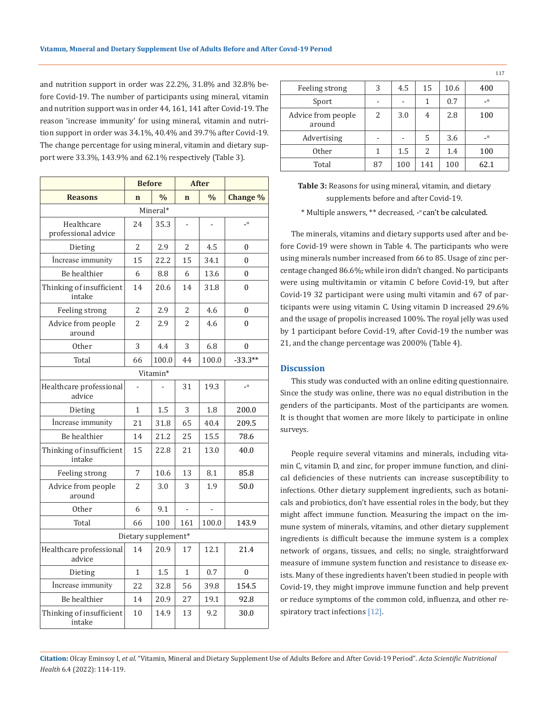and nutrition support in order was 22.2%, 31.8% and 32.8% before Covid-19. The number of participants using mineral, vitamin and nutrition support was in order 44, 161, 141 after Covid-19. The reason 'increase immunity' for using mineral, vitamin and nutrition support in order was 34.1%, 40.4% and 39.7% after Covid-19. The change percentage for using mineral, vitamin and dietary support were 33.3%, 143.9% and 62.1% respectively (Table 3).

|                                    | <b>Before</b> |               | <b>After</b> |               |              |  |  |
|------------------------------------|---------------|---------------|--------------|---------------|--------------|--|--|
| <b>Reasons</b>                     | $\mathbf n$   | $\frac{0}{0}$ | $\mathbf n$  | $\frac{0}{0}$ | Change %     |  |  |
| Mineral*                           |               |               |              |               |              |  |  |
| Healthcare<br>professional advice  | 24            | 35.3          |              |               | $\alpha$     |  |  |
| Dieting                            | 2             | 2.9           | 2            | 4.5           | $\theta$     |  |  |
| İncrease immunity                  | 15            | 22.2          | 15           | 34.1          | $\theta$     |  |  |
| Be healthier                       | 6             | 8.8           | 6            | 13.6          | 0            |  |  |
| Thinking of insufficient<br>intake | 14            | 20.6          | 14           | 31.8          | $\mathbf{0}$ |  |  |
| Feeling strong                     | 2             | 2.9           | 2            | 4.6           | $\theta$     |  |  |
| Advice from people<br>around       | 2             | 2.9           | 2            | 4.6           | 0            |  |  |
| <b>Other</b>                       | 3             | 4.4           | 3            | 6.8           | $\theta$     |  |  |
| Total                              | 66            | 100.0         | 44           | 100.0         | $-33.3**$    |  |  |
|                                    |               | Vitamin*      |              |               |              |  |  |
| Healthcare professional<br>advice  |               |               | 31           | 19.3          | $\alpha$     |  |  |
| Dieting                            | 1             | 1.5           | 3            | 1.8           | 200.0        |  |  |
| Increase immunity                  | 21            | 31.8          | 65           | 40.4          | 209.5        |  |  |
| Be healthier                       | 14            | 21.2          | 25           | 15.5          | 78.6         |  |  |
| Thinking of insufficient<br>intake | 15            | 22.8          | 21           | 13.0          | 40.0         |  |  |
| Feeling strong                     | 7             | 10.6          | 13           | 8.1           | 85.8         |  |  |
| Advice from people<br>around       | 2             | 3.0           | 3            | 1.9           | 50.0         |  |  |
| Other                              | 6             | 9.1           |              |               |              |  |  |
| Total                              | 66            | 100           | 161          | 100.0         | 143.9        |  |  |
| Dietary supplement*                |               |               |              |               |              |  |  |
| Healthcare professional<br>advice  | 14            | 20.9          | 17           | 12.1          | 21.4         |  |  |
| Dieting                            | 1             | 1.5           | 1            | 0.7           | 0            |  |  |
| Increase immunity                  | 22            | 32.8          | 56           | 39.8          | 154.5        |  |  |
| Be healthier                       | 14            | 20.9          | 27           | 19.1          | 92.8         |  |  |
| Thinking of insufficient<br>intake | 10            | 14.9          | 13           | 9.2           | 30.0         |  |  |

|                              |    |     |     |      | <b>**</b> |
|------------------------------|----|-----|-----|------|-----------|
| Feeling strong               | 3  | 4.5 | 15  | 10.6 | 400       |
| Sport                        |    |     | 1   | 0.7  | $-\alpha$ |
| Advice from people<br>around | 2  | 3.0 | 4   | 2.8  | 100       |
| Advertising                  |    |     | 5   | 3.6  | $\alpha$  |
| Other                        | 1  | 1.5 | 2   | 1.4  | 100       |
| Total                        | 87 | 100 | 141 | 100  | 62.1      |

117

\* Multiple answers, \*\* decreased, - *<sup>α</sup>*can't be calculated.

The minerals, vitamins and dietary supports used after and before Covid-19 were shown in Table 4. The participants who were using minerals number increased from 66 to 85. Usage of zinc percentage changed 86.6%, while iron didn't changed. No participants were using multivitamin or vitamin C before Covid-19, but after Covid-19 32 participant were using multi vitamin and 67 of participants were using vitamin C. Using vitamin D increased 29.6% and the usage of propolis increased 100%. The royal jelly was used by 1 participant before Covid-19, after Covid-19 the number was 21, and the change percentage was 2000% (Table 4).

#### **Discussion**

This study was conducted with an online editing questionnaire. Since the study was online, there was no equal distribution in the genders of the participants. Most of the participants are women. It is thought that women are more likely to participate in online surveys.

People require several vitamins and minerals, including vitamin C, vitamin D, and zinc, for proper immune function, and clinical deficiencies of these nutrients can increase susceptibility to infections. Other dietary supplement ingredients, such as botanicals and probiotics, don't have essential roles in the body, but they might affect immune function. Measuring the impact on the immune system of minerals, vitamins, and other dietary supplement ingredients is difficult because the immune system is a complex network of organs, tissues, and cells; no single, straightforward measure of immune system function and resistance to disease exists. Many of these ingredients haven't been studied in people with Covid-19, they might improve immune function and help prevent or reduce symptoms of the common cold, influenza, and other respiratory tract infections [12].

**Citation:** Olcay Eminsoy I*, et al.* "Vitamin, Mineral and Dietary Supplement Use of Adults Before and After Covid-19 Period". *Acta Scientific Nutritional Health* 6.4 (2022): 114-119.

**Table 3:** Reasons for using mineral, vitamin, and dietary supplements before and after Covid-19.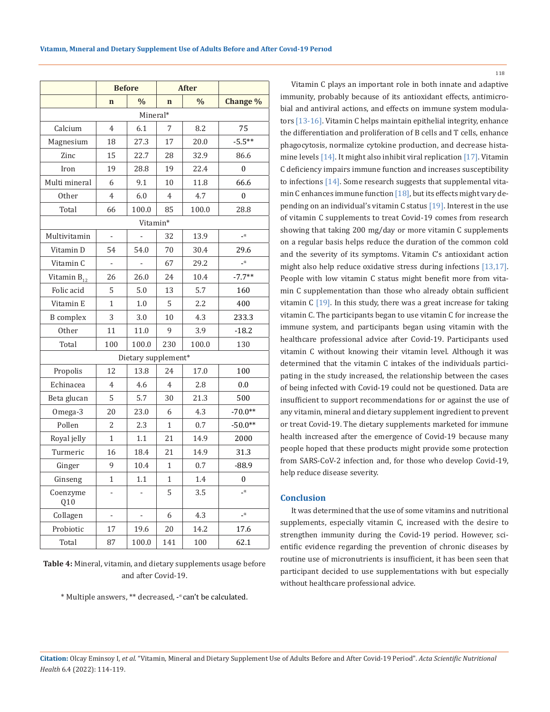|                  | <b>Before</b>            |                              |                | <b>After</b>  |                |  |  |
|------------------|--------------------------|------------------------------|----------------|---------------|----------------|--|--|
|                  | $\mathbf n$              | $\frac{0}{0}$                | $\mathbf n$    | $\frac{0}{0}$ | Change %       |  |  |
| Mineral*         |                          |                              |                |               |                |  |  |
| Calcium          | $\overline{4}$           | 6.1                          | 7              | 8.2           | 75             |  |  |
| Magnesium        | 18                       | 27.3                         | 17             | 20.0          | $-5.5**$       |  |  |
| Zinc             | 15                       | 22.7                         | 28             | 32.9          | 86.6           |  |  |
| Iron             | 19                       | 28.8                         | 19             | 22.4          | $\mathbf{0}$   |  |  |
| Multi mineral    | 6                        | 9.1                          | 10             | 11.8          | 66.6           |  |  |
| Other            | $\overline{4}$           | 6.0                          | $\overline{4}$ | 4.7           | $\mathbf{0}$   |  |  |
| Total            | 66                       | 100.0                        | 85             | 100.0         | 28.8           |  |  |
| Vitamin*         |                          |                              |                |               |                |  |  |
| Multivitamin     |                          |                              | 32             | 13.9          | $\alpha$       |  |  |
| Vitamin D        | 54                       | 54.0                         | 70             | 30.4          | 29.6           |  |  |
| Vitamin C        | $\blacksquare$           | ÷,                           | 67             | 29.2          | $\mathbf{u}_-$ |  |  |
| Vitamin $B_{12}$ | 26                       | 26.0                         | 24             | 10.4          | $-7.7**$       |  |  |
| Folic acid       | 5                        | 5.0                          | 13             | 5.7           | 160            |  |  |
| Vitamin E        | $\mathbf{1}$             | 1.0                          | 5              | 2.2           | 400            |  |  |
| <b>B</b> complex | 3                        | 3.0                          | 10             | 4.3           | 233.3          |  |  |
| Other            | 11                       | 11.0                         | 9              | 3.9           | $-18.2$        |  |  |
| Total            | 100                      | 100.0                        | 230            | 100.0         | 130            |  |  |
|                  |                          | Dietary supplement*          |                |               |                |  |  |
| Propolis         | 12                       | 13.8                         | 24             | 17.0          | 100            |  |  |
| Echinacea        | $\overline{4}$           | 4.6                          | $\overline{4}$ | 2.8           | 0.0            |  |  |
| Beta glucan      | 5                        | 5.7                          | 30             | 21.3          | 500            |  |  |
| Omega-3          | 20                       | 23.0                         | 6              | 4.3           | $-70.0**$      |  |  |
| Pollen           | $\overline{2}$           | 2.3                          | 1              | 0.7           | $-50.0**$      |  |  |
| Royal jelly      | 1                        | 1.1                          | 21             | 14.9          | 2000           |  |  |
| Turmeric         | 16                       | 18.4                         | 21             | 14.9          | 31.3           |  |  |
| Ginger           | 9                        | 10.4                         | 1              | 0.7           | $-88.9$        |  |  |
| Ginseng          | 1                        | 1.1                          | 1              | 1.4           | $\theta$       |  |  |
| Coenzyme<br>Q10  |                          |                              | 5              | 3.5           | $\alpha$       |  |  |
| Collagen         | $\overline{\phantom{m}}$ | $\qquad \qquad \blacksquare$ | 6              | 4.3           | $\mathbf{u}_-$ |  |  |
| Probiotic        | 17                       | 19.6                         | 20             | 14.2          | 17.6           |  |  |
| Total            | 87                       | 100.0                        | 141            | 100           | 62.1           |  |  |

**Table 4:** Mineral, vitamin, and dietary supplements usage before and after Covid-19.

\* Multiple answers, \*\* decreased, - *<sup>α</sup>*can't be calculated.

Vitamin C plays an important role in both innate and adaptive immunity, probably because of its antioxidant effects, antimicrobial and antiviral actions, and effects on immune system modulators [13-16]. Vitamin C helps maintain epithelial integrity, enhance the differentiation and proliferation of B cells and T cells, enhance phagocytosis, normalize cytokine production, and decrease histamine levels [14]. It might also inhibit viral replication [17]. Vitamin C deficiency impairs immune function and increases susceptibility to infections [14]. Some research suggests that supplemental vitamin C enhances immune function [18], but its effects might vary depending on an individual's vitamin C status  $[19]$ . Interest in the use of vitamin C supplements to treat Covid-19 comes from research showing that taking 200 mg/day or more vitamin C supplements on a regular basis helps reduce the duration of the common cold and the severity of its symptoms. Vitamin C's antioxidant action might also help reduce oxidative stress during infections [13,17]. People with low vitamin C status might benefit more from vitamin C supplementation than those who already obtain sufficient vitamin  $C$  [19]. In this study, there was a great increase for taking vitamin C. The participants began to use vitamin C for increase the immune system, and participants began using vitamin with the healthcare professional advice after Covid-19. Participants used vitamin C without knowing their vitamin level. Although it was determined that the vitamin C intakes of the individuals participating in the study increased, the relationship between the cases of being infected with Covid-19 could not be questioned. Data are insufficient to support recommendations for or against the use of any vitamin, mineral and dietary supplement ingredient to prevent or treat Covid-19. The dietary supplements marketed for immune health increased after the emergence of Covid-19 because many people hoped that these products might provide some protection from SARS-CoV-2 infection and, for those who develop Covid-19, help reduce disease severity.

## **Conclusion**

It was determined that the use of some vitamins and nutritional supplements, especially vitamin C, increased with the desire to strengthen immunity during the Covid-19 period. However, scientific evidence regarding the prevention of chronic diseases by routine use of micronutrients is insufficient, it has been seen that participant decided to use supplementations with but especially without healthcare professional advice.

**Citation:** Olcay Eminsoy I*, et al.* "Vitamin, Mineral and Dietary Supplement Use of Adults Before and After Covid-19 Period". *Acta Scientific Nutritional Health* 6.4 (2022): 114-119.

118